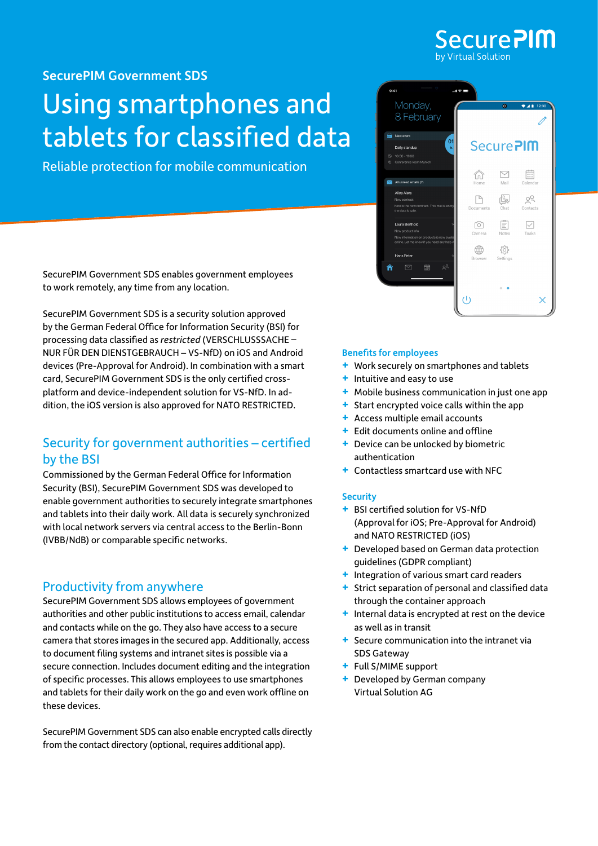

[SecurePIM Government](https://www.virtual-solution.com/securepim-government-sds/) SDS

## Using smartphones and tablets for classified data

Reliable protection for mobile communication



SecurePIM Government SDS enables government employees to work remotely, any time from any location.

SecurePIM Government SDS is a security solution approved by the German Federal Office for Information Security (BSI) for processing data classified as *restricted* (VERSCHLUSSSACHE – NUR FÜR DEN DIENSTGEBRAUCH – VS-NfD) on iOS and Android devices (Pre-Approval for Android). In combination with a smart card, SecurePIM Government SDS is the only certified crossplatform and device-independent solution for VS-NfD. In addition, the iOS version is also approved for NATO RESTRICTED.

## Security for government authorities – certified by the BSI

Commissioned by the German Federal Office for Information Security (BSI), SecurePIM Government SDS was developed to enable government authorities to securely integrate smartphones and tablets into their daily work. All data is securely synchronized with local network servers via central access to the Berlin-Bonn (IVBB/NdB) or comparable specific networks.

## Productivity from anywhere

SecurePIM Government SDS allows employees of government authorities and other public institutions to access email, calendar and contacts while on the go. They also have access to a secure camera that stores images in the secured app. Additionally, access to document filing systems and intranet sites is possible via a secure connection. Includes document editing and the integration of specific processes. This allows employees to use smartphones and tablets for their daily work on the go and even work offline on these devices.

SecurePIM Government SDS can also enable encrypted calls directly from the contact directory (optional, requires additional app).

#### Benefits for employees

- **+** Work securely on smartphones and tablets
- **+** Intuitive and easy to use
- **+** Mobile business communication in just one app
- **+** Start encrypted voice calls within the app
- **+** Access multiple email accounts
- **+** Edit documents online and offline
- **+** Device can be unlocked by biometric authentication
- **+** Contactless smartcard use with NFC

#### **Security**

- **+** BSI certified solution for VS-NfD (Approval for iOS; Pre-Approval for Android) and NATO RESTRICTED (iOS)
- **+** Developed based on German data protection guidelines (GDPR compliant)
- **+** Integration of various smart card readers
- **+** Strict separation of personal and classified data through the container approach
- **+** Internal data is encrypted at rest on the device as well as in transit
- **+** Secure communication into the intranet via SDS Gateway
- **+** Full S/MIME support
- **+** Developed by German company Virtual Solution AG